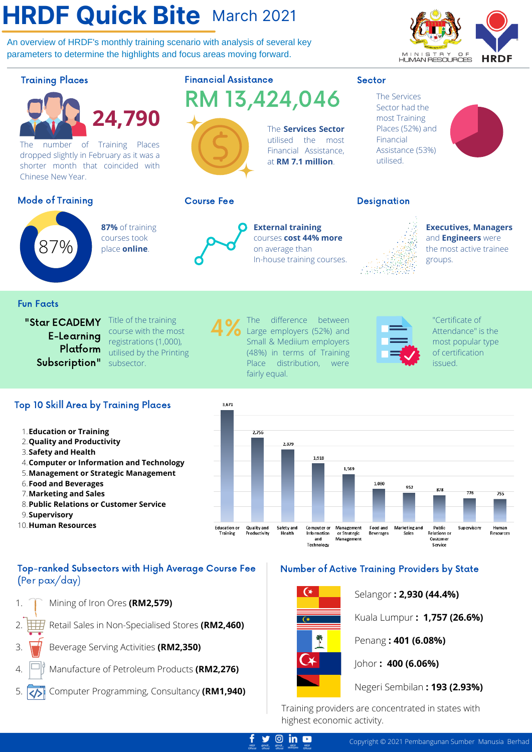# **HRDF Quick Bite** March 2021

An overview of HRDF's monthly training scenario with analysis of several key parameters to determine the highlights and focus areas moving forward.





**Education or** 

Training

**Quality** and

Productivity

Safety and

Health

### Top-ranked Subsectors with High Average Course Fee (Per pax/day)

Mining of Iron Ores **(RM2,579)** 1.

**Computer or Information and Technology** 4. **Management or Strategic Management** 5.

**Public Relations or Customer Service** 8.

**Food and Beverages** 6. **Marketing and Sales** 7.

9. **Supervisory Human Resources** 10.

3.

Retail Sales in Non-Specialised Stores **(RM2,460)** 2.

Beverage Serving Activities **(RM2,350)**

- Manufacture of Petroleum Products **(RM2,276)** 4.
- Computer Programming, Consultancy **(RM1,940)** 5.  $\overline{\langle}$

### Number of Active Training Providers by State

Food and

1.080

1,569

Manage ment

or Strategic

Managemen



Computer or

Information

and

Technology

Selangor **: 2,930 (44.4%)**

952

Marketing and

878

Public

**Relations** or

Custome

Service

776

Supervisory

755

Human

Resources

Kuala Lumpur **: 1,757 (26.6%)**



Johor **: 400 (6.06%)**

Negeri Sembilan **: 193 (2.93%)**

Training providers are concentrated in states with highest economic activity.